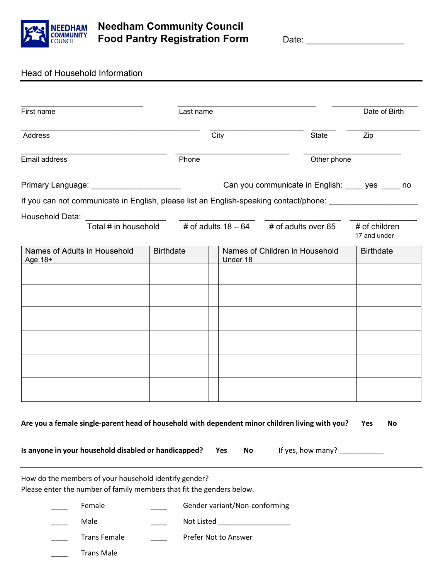

## Head of Household Information

| First name                                                                                           | Last name                      |                               |                                                                                | Date of Birth                 |  |  |
|------------------------------------------------------------------------------------------------------|--------------------------------|-------------------------------|--------------------------------------------------------------------------------|-------------------------------|--|--|
| Address                                                                                              |                                | City                          | State                                                                          | Zip                           |  |  |
| Email address                                                                                        | Phone                          |                               | Other phone                                                                    |                               |  |  |
| Primary Language: _______________________                                                            |                                |                               | Can you communicate in English: yes _____ no                                   |                               |  |  |
| If you can not communicate in English, please list an English-speaking contact/phone: ______________ |                                |                               |                                                                                |                               |  |  |
| Household Data:                                                                                      |                                |                               |                                                                                |                               |  |  |
|                                                                                                      |                                |                               | Total # in household $\qquad$ # of adults 18 - 64 $\qquad$ # of adults over 65 | # of children<br>17 and under |  |  |
| Names of Adults in Household<br>Age 18+                                                              | <b>Birthdate</b>               | Under 18                      | Names of Children in Household                                                 | <b>Birthdate</b>              |  |  |
|                                                                                                      |                                |                               |                                                                                |                               |  |  |
|                                                                                                      |                                |                               |                                                                                |                               |  |  |
|                                                                                                      |                                |                               |                                                                                |                               |  |  |
|                                                                                                      |                                |                               |                                                                                |                               |  |  |
|                                                                                                      |                                |                               |                                                                                |                               |  |  |
|                                                                                                      |                                |                               |                                                                                |                               |  |  |
|                                                                                                      |                                |                               |                                                                                |                               |  |  |
|                                                                                                      |                                |                               |                                                                                |                               |  |  |
|                                                                                                      |                                |                               |                                                                                |                               |  |  |
|                                                                                                      |                                |                               |                                                                                |                               |  |  |
| Are you a female single-parent head of household with dependent minor children living with you?      |                                |                               |                                                                                | Yes<br>No                     |  |  |
|                                                                                                      |                                |                               |                                                                                |                               |  |  |
| Is anyone in your household disabled or handicapped?                                                 |                                | Yes<br>No                     | If yes, how many?                                                              |                               |  |  |
| How do the members of your household identify gender?                                                |                                |                               |                                                                                |                               |  |  |
| Please enter the number of family members that fit the genders below.                                |                                |                               |                                                                                |                               |  |  |
| Female                                                                                               |                                | Gender variant/Non-conforming |                                                                                |                               |  |  |
| Male                                                                                                 | Not Listed ___________________ |                               |                                                                                |                               |  |  |
|                                                                                                      |                                |                               |                                                                                |                               |  |  |
| <b>Trans Female</b>                                                                                  |                                | Prefer Not to Answer          |                                                                                |                               |  |  |